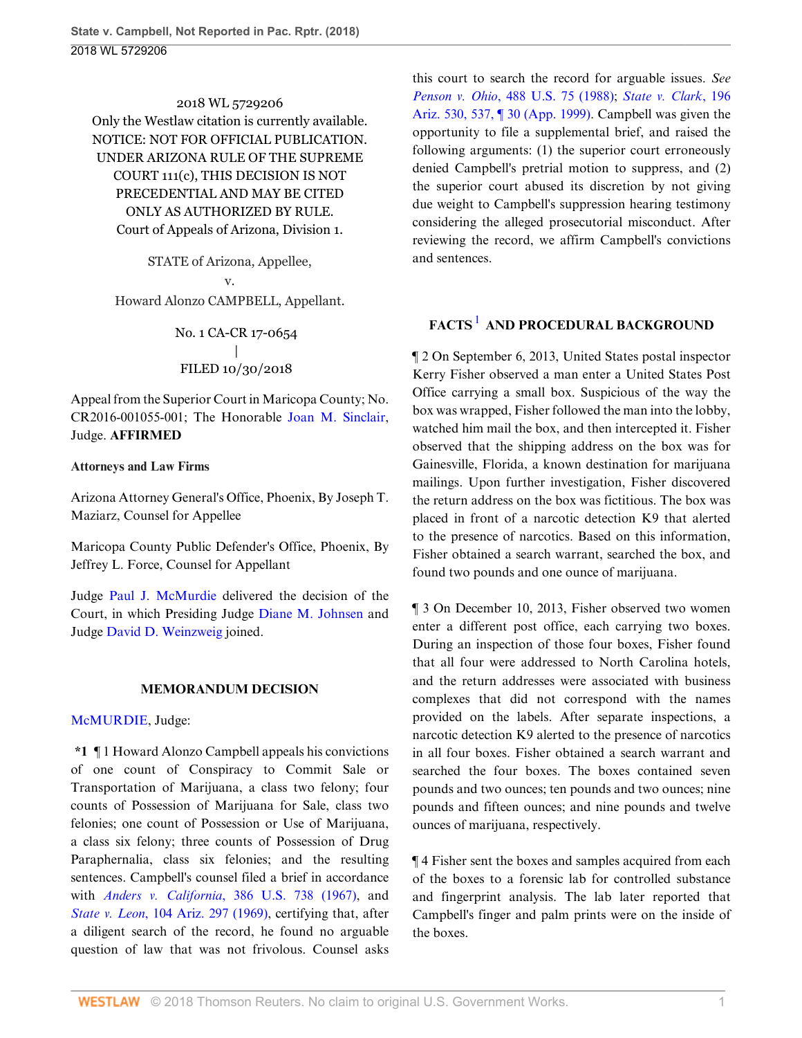2018 WL 5729206 Only the Westlaw citation is currently available. NOTICE: NOT FOR OFFICIAL PUBLICATION. UNDER ARIZONA RULE OF THE SUPREME COURT 111(c), THIS DECISION IS NOT PRECEDENTIAL AND MAY BE CITED ONLY AS AUTHORIZED BY RULE. Court of Appeals of Arizona, Division 1.

STATE of Arizona, Appellee, v. Howard Alonzo CAMPBELL, Appellant.

> No. 1 CA-CR 17-0654 | FILED 10/30/2018

Appeal from the Superior Court in Maricopa County; No. CR2016-001055-001; The Honorable [Joan M. Sinclair](http://www.westlaw.com/Link/Document/FullText?findType=h&pubNum=176284&cite=0476086001&originatingDoc=Ib60ba390def511e8a1b0e6625e646f8f&refType=RQ&originationContext=document&vr=3.0&rs=cblt1.0&transitionType=DocumentItem&contextData=(sc.UserEnteredCitation)), Judge. **AFFIRMED**

### **Attorneys and Law Firms**

Arizona Attorney General's Office, Phoenix, By Joseph T. Maziarz, Counsel for Appellee

Maricopa County Public Defender's Office, Phoenix, By Jeffrey L. Force, Counsel for Appellant

Judge [Paul J. McMurdie](http://www.westlaw.com/Link/Document/FullText?findType=h&pubNum=176284&cite=0213286101&originatingDoc=Ib60ba390def511e8a1b0e6625e646f8f&refType=RQ&originationContext=document&vr=3.0&rs=cblt1.0&transitionType=DocumentItem&contextData=(sc.UserEnteredCitation)) delivered the decision of the Court, in which Presiding Judge [Diane M. Johnsen](http://www.westlaw.com/Link/Document/FullText?findType=h&pubNum=176284&cite=0254738101&originatingDoc=Ib60ba390def511e8a1b0e6625e646f8f&refType=RQ&originationContext=document&vr=3.0&rs=cblt1.0&transitionType=DocumentItem&contextData=(sc.UserEnteredCitation)) and Judge [David D. Weinzweig](http://www.westlaw.com/Link/Document/FullText?findType=h&pubNum=176284&cite=0506162701&originatingDoc=Ib60ba390def511e8a1b0e6625e646f8f&refType=RQ&originationContext=document&vr=3.0&rs=cblt1.0&transitionType=DocumentItem&contextData=(sc.UserEnteredCitation)) joined.

### **MEMORANDUM DECISION**

### [McMURDIE,](http://www.westlaw.com/Link/Document/FullText?findType=h&pubNum=176284&cite=0213286101&originatingDoc=Ib60ba390def511e8a1b0e6625e646f8f&refType=RQ&originationContext=document&vr=3.0&rs=cblt1.0&transitionType=DocumentItem&contextData=(sc.UserEnteredCitation)) Judge:

**\*1** ¶ 1 Howard Alonzo Campbell appeals his convictions of one count of Conspiracy to Commit Sale or Transportation of Marijuana, a class two felony; four counts of Possession of Marijuana for Sale, class two felonies; one count of Possession or Use of Marijuana, a class six felony; three counts of Possession of Drug Paraphernalia, class six felonies; and the resulting sentences. Campbell's counsel filed a brief in accordance with *Anders v. California*[, 386 U.S. 738 \(1967\)](http://www.westlaw.com/Link/Document/FullText?findType=Y&serNum=1967129500&pubNum=0000780&originatingDoc=Ib60ba390def511e8a1b0e6625e646f8f&refType=RP&originationContext=document&vr=3.0&rs=cblt1.0&transitionType=DocumentItem&contextData=(sc.UserEnteredCitation)), and *State v. Leon*[, 104 Ariz. 297 \(1969\),](http://www.westlaw.com/Link/Document/FullText?findType=Y&serNum=1969129907&pubNum=0000156&originatingDoc=Ib60ba390def511e8a1b0e6625e646f8f&refType=RP&originationContext=document&vr=3.0&rs=cblt1.0&transitionType=DocumentItem&contextData=(sc.UserEnteredCitation)) certifying that, after a diligent search of the record, he found no arguable question of law that was not frivolous. Counsel asks

this court to search the record for arguable issues. *See Penson v. Ohio*[, 488 U.S. 75 \(1988\);](http://www.westlaw.com/Link/Document/FullText?findType=Y&serNum=1988152269&pubNum=0000780&originatingDoc=Ib60ba390def511e8a1b0e6625e646f8f&refType=RP&originationContext=document&vr=3.0&rs=cblt1.0&transitionType=DocumentItem&contextData=(sc.UserEnteredCitation)) *[State v. Clark](http://www.westlaw.com/Link/Document/FullText?findType=Y&serNum=1999034004&pubNum=0000156&originatingDoc=Ib60ba390def511e8a1b0e6625e646f8f&refType=RP&fi=co_pp_sp_156_537&originationContext=document&vr=3.0&rs=cblt1.0&transitionType=DocumentItem&contextData=(sc.UserEnteredCitation)#co_pp_sp_156_537)*, 196 [Ariz. 530, 537, ¶ 30 \(App. 1999\)](http://www.westlaw.com/Link/Document/FullText?findType=Y&serNum=1999034004&pubNum=0000156&originatingDoc=Ib60ba390def511e8a1b0e6625e646f8f&refType=RP&fi=co_pp_sp_156_537&originationContext=document&vr=3.0&rs=cblt1.0&transitionType=DocumentItem&contextData=(sc.UserEnteredCitation)#co_pp_sp_156_537). Campbell was given the opportunity to file a supplemental brief, and raised the following arguments: (1) the superior court erroneously denied Campbell's pretrial motion to suppress, and (2) the superior court abused its discretion by not giving due weight to Campbell's suppression hearing testimony considering the alleged prosecutorial misconduct. After reviewing the record, we affirm Campbell's convictions and sentences.

# <span id="page-0-0"></span>**FACTS<sup>[1](#page-3-0)</sup> AND PROCEDURAL BACKGROUND**

¶ 2 On September 6, 2013, United States postal inspector Kerry Fisher observed a man enter a United States Post Office carrying a small box. Suspicious of the way the box was wrapped, Fisher followed the man into the lobby, watched him mail the box, and then intercepted it. Fisher observed that the shipping address on the box was for Gainesville, Florida, a known destination for marijuana mailings. Upon further investigation, Fisher discovered the return address on the box was fictitious. The box was placed in front of a narcotic detection K9 that alerted to the presence of narcotics. Based on this information, Fisher obtained a search warrant, searched the box, and found two pounds and one ounce of marijuana.

¶ 3 On December 10, 2013, Fisher observed two women enter a different post office, each carrying two boxes. During an inspection of those four boxes, Fisher found that all four were addressed to North Carolina hotels, and the return addresses were associated with business complexes that did not correspond with the names provided on the labels. After separate inspections, a narcotic detection K9 alerted to the presence of narcotics in all four boxes. Fisher obtained a search warrant and searched the four boxes. The boxes contained seven pounds and two ounces; ten pounds and two ounces; nine pounds and fifteen ounces; and nine pounds and twelve ounces of marijuana, respectively.

¶ 4 Fisher sent the boxes and samples acquired from each of the boxes to a forensic lab for controlled substance and fingerprint analysis. The lab later reported that Campbell's finger and palm prints were on the inside of the boxes.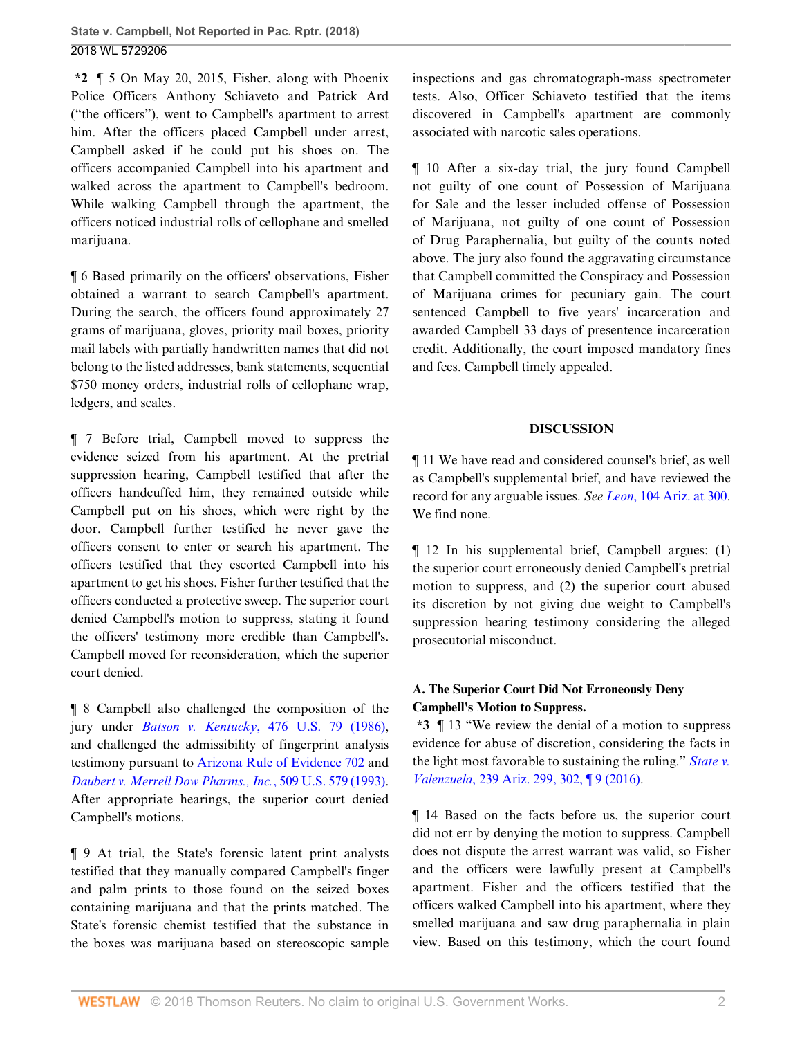**\*2** ¶ 5 On May 20, 2015, Fisher, along with Phoenix Police Officers Anthony Schiaveto and Patrick Ard ("the officers"), went to Campbell's apartment to arrest him. After the officers placed Campbell under arrest, Campbell asked if he could put his shoes on. The officers accompanied Campbell into his apartment and walked across the apartment to Campbell's bedroom. While walking Campbell through the apartment, the officers noticed industrial rolls of cellophane and smelled marijuana.

¶ 6 Based primarily on the officers' observations, Fisher obtained a warrant to search Campbell's apartment. During the search, the officers found approximately 27 grams of marijuana, gloves, priority mail boxes, priority mail labels with partially handwritten names that did not belong to the listed addresses, bank statements, sequential \$750 money orders, industrial rolls of cellophane wrap, ledgers, and scales.

¶ 7 Before trial, Campbell moved to suppress the evidence seized from his apartment. At the pretrial suppression hearing, Campbell testified that after the officers handcuffed him, they remained outside while Campbell put on his shoes, which were right by the door. Campbell further testified he never gave the officers consent to enter or search his apartment. The officers testified that they escorted Campbell into his apartment to get his shoes. Fisher further testified that the officers conducted a protective sweep. The superior court denied Campbell's motion to suppress, stating it found the officers' testimony more credible than Campbell's. Campbell moved for reconsideration, which the superior court denied.

¶ 8 Campbell also challenged the composition of the jury under *Batson v. Kentucky*[, 476 U.S. 79 \(1986\)](http://www.westlaw.com/Link/Document/FullText?findType=Y&serNum=1986122459&pubNum=0000780&originatingDoc=Ib60ba390def511e8a1b0e6625e646f8f&refType=RP&originationContext=document&vr=3.0&rs=cblt1.0&transitionType=DocumentItem&contextData=(sc.UserEnteredCitation)), and challenged the admissibility of fingerprint analysis testimony pursuant to [Arizona Rule of Evidence 702](http://www.westlaw.com/Link/Document/FullText?findType=L&pubNum=1003574&cite=AZSTREVR702&originatingDoc=Ib60ba390def511e8a1b0e6625e646f8f&refType=LQ&originationContext=document&vr=3.0&rs=cblt1.0&transitionType=DocumentItem&contextData=(sc.UserEnteredCitation)) and *[Daubert v. Merrell Dow Pharms., Inc.](http://www.westlaw.com/Link/Document/FullText?findType=Y&serNum=1993130674&pubNum=0000780&originatingDoc=Ib60ba390def511e8a1b0e6625e646f8f&refType=RP&originationContext=document&vr=3.0&rs=cblt1.0&transitionType=DocumentItem&contextData=(sc.UserEnteredCitation))*, 509 U.S. 579 (1993). After appropriate hearings, the superior court denied Campbell's motions.

¶ 9 At trial, the State's forensic latent print analysts testified that they manually compared Campbell's finger and palm prints to those found on the seized boxes containing marijuana and that the prints matched. The State's forensic chemist testified that the substance in the boxes was marijuana based on stereoscopic sample inspections and gas chromatograph-mass spectrometer tests. Also, Officer Schiaveto testified that the items discovered in Campbell's apartment are commonly associated with narcotic sales operations.

¶ 10 After a six-day trial, the jury found Campbell not guilty of one count of Possession of Marijuana for Sale and the lesser included offense of Possession of Marijuana, not guilty of one count of Possession of Drug Paraphernalia, but guilty of the counts noted above. The jury also found the aggravating circumstance that Campbell committed the Conspiracy and Possession of Marijuana crimes for pecuniary gain. The court sentenced Campbell to five years' incarceration and awarded Campbell 33 days of presentence incarceration credit. Additionally, the court imposed mandatory fines and fees. Campbell timely appealed.

### **DISCUSSION**

¶ 11 We have read and considered counsel's brief, as well as Campbell's supplemental brief, and have reviewed the record for any arguable issues. *See Leon*[, 104 Ariz. at 300](http://www.westlaw.com/Link/Document/FullText?findType=Y&serNum=1969129907&pubNum=0000156&originatingDoc=Ib60ba390def511e8a1b0e6625e646f8f&refType=RP&fi=co_pp_sp_156_300&originationContext=document&vr=3.0&rs=cblt1.0&transitionType=DocumentItem&contextData=(sc.UserEnteredCitation)#co_pp_sp_156_300). We find none.

¶ 12 In his supplemental brief, Campbell argues: (1) the superior court erroneously denied Campbell's pretrial motion to suppress, and (2) the superior court abused its discretion by not giving due weight to Campbell's suppression hearing testimony considering the alleged prosecutorial misconduct.

## **A. The Superior Court Did Not Erroneously Deny Campbell's Motion to Suppress.**

**\*3** ¶ 13 "We review the denial of a motion to suppress evidence for abuse of discretion, considering the facts in the light most favorable to sustaining the ruling." *[State v.](http://www.westlaw.com/Link/Document/FullText?findType=Y&serNum=2038729596&pubNum=0000156&originatingDoc=Ib60ba390def511e8a1b0e6625e646f8f&refType=RP&fi=co_pp_sp_156_302&originationContext=document&vr=3.0&rs=cblt1.0&transitionType=DocumentItem&contextData=(sc.UserEnteredCitation)#co_pp_sp_156_302) Valenzuela*[, 239 Ariz. 299, 302, ¶ 9 \(2016\).](http://www.westlaw.com/Link/Document/FullText?findType=Y&serNum=2038729596&pubNum=0000156&originatingDoc=Ib60ba390def511e8a1b0e6625e646f8f&refType=RP&fi=co_pp_sp_156_302&originationContext=document&vr=3.0&rs=cblt1.0&transitionType=DocumentItem&contextData=(sc.UserEnteredCitation)#co_pp_sp_156_302)

¶ 14 Based on the facts before us, the superior court did not err by denying the motion to suppress. Campbell does not dispute the arrest warrant was valid, so Fisher and the officers were lawfully present at Campbell's apartment. Fisher and the officers testified that the officers walked Campbell into his apartment, where they smelled marijuana and saw drug paraphernalia in plain view. Based on this testimony, which the court found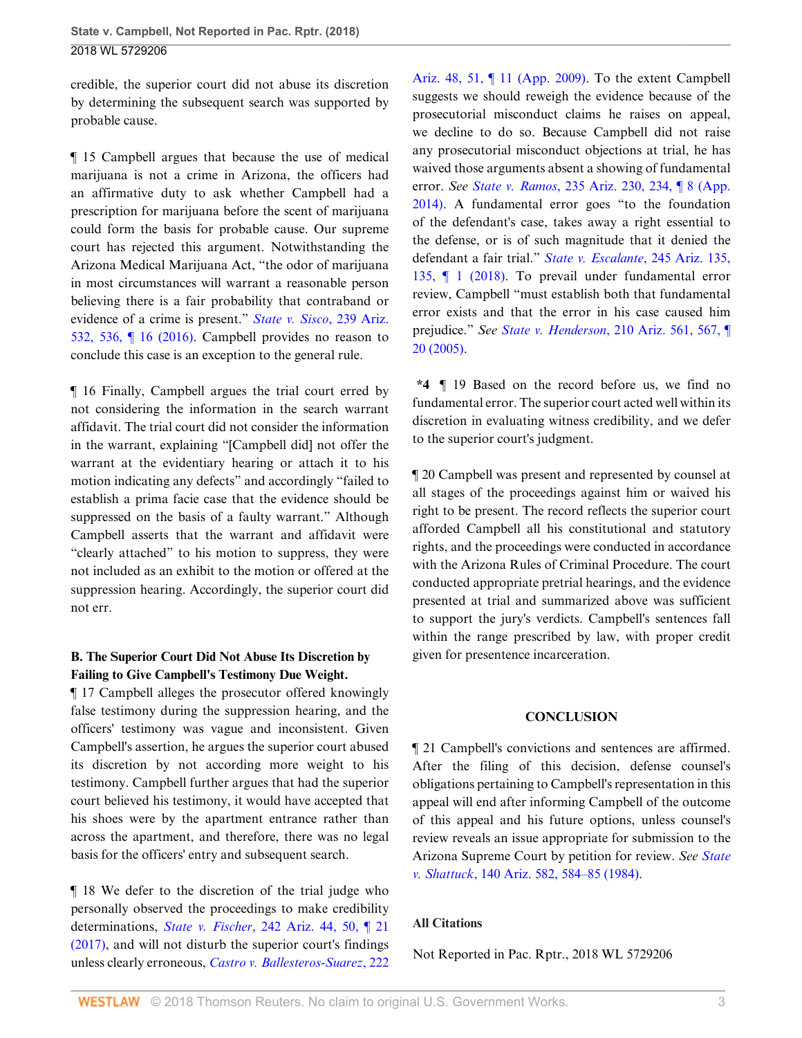credible, the superior court did not abuse its discretion by determining the subsequent search was supported by probable cause.

¶ 15 Campbell argues that because the use of medical marijuana is not a crime in Arizona, the officers had an affirmative duty to ask whether Campbell had a prescription for marijuana before the scent of marijuana could form the basis for probable cause. Our supreme court has rejected this argument. Notwithstanding the Arizona Medical Marijuana Act, "the odor of marijuana in most circumstances will warrant a reasonable person believing there is a fair probability that contraband or evidence of a crime is present." *[State v. Sisco](http://www.westlaw.com/Link/Document/FullText?findType=Y&serNum=2039358116&pubNum=0000156&originatingDoc=Ib60ba390def511e8a1b0e6625e646f8f&refType=RP&fi=co_pp_sp_156_536&originationContext=document&vr=3.0&rs=cblt1.0&transitionType=DocumentItem&contextData=(sc.UserEnteredCitation)#co_pp_sp_156_536)*, 239 Ariz. [532, 536, ¶ 16 \(2016\)](http://www.westlaw.com/Link/Document/FullText?findType=Y&serNum=2039358116&pubNum=0000156&originatingDoc=Ib60ba390def511e8a1b0e6625e646f8f&refType=RP&fi=co_pp_sp_156_536&originationContext=document&vr=3.0&rs=cblt1.0&transitionType=DocumentItem&contextData=(sc.UserEnteredCitation)#co_pp_sp_156_536). Campbell provides no reason to conclude this case is an exception to the general rule.

¶ 16 Finally, Campbell argues the trial court erred by not considering the information in the search warrant affidavit. The trial court did not consider the information in the warrant, explaining "[Campbell did] not offer the warrant at the evidentiary hearing or attach it to his motion indicating any defects" and accordingly "failed to establish a prima facie case that the evidence should be suppressed on the basis of a faulty warrant." Although Campbell asserts that the warrant and affidavit were "clearly attached" to his motion to suppress, they were not included as an exhibit to the motion or offered at the suppression hearing. Accordingly, the superior court did not err.

# **B. The Superior Court Did Not Abuse Its Discretion by Failing to Give Campbell's Testimony Due Weight.**

¶ 17 Campbell alleges the prosecutor offered knowingly false testimony during the suppression hearing, and the officers' testimony was vague and inconsistent. Given Campbell's assertion, he argues the superior court abused its discretion by not according more weight to his testimony. Campbell further argues that had the superior court believed his testimony, it would have accepted that his shoes were by the apartment entrance rather than across the apartment, and therefore, there was no legal basis for the officers' entry and subsequent search.

¶ 18 We defer to the discretion of the trial judge who personally observed the proceedings to make credibility determinations, *State v. Fischer*[, 242 Ariz. 44, 50, ¶ 21](http://www.westlaw.com/Link/Document/FullText?findType=Y&serNum=2041455682&pubNum=0000156&originatingDoc=Ib60ba390def511e8a1b0e6625e646f8f&refType=RP&fi=co_pp_sp_156_50&originationContext=document&vr=3.0&rs=cblt1.0&transitionType=DocumentItem&contextData=(sc.UserEnteredCitation)#co_pp_sp_156_50) [\(2017\),](http://www.westlaw.com/Link/Document/FullText?findType=Y&serNum=2041455682&pubNum=0000156&originatingDoc=Ib60ba390def511e8a1b0e6625e646f8f&refType=RP&fi=co_pp_sp_156_50&originationContext=document&vr=3.0&rs=cblt1.0&transitionType=DocumentItem&contextData=(sc.UserEnteredCitation)#co_pp_sp_156_50) and will not disturb the superior court's findings unless clearly erroneous, *[Castro v. Ballesteros-Suarez](http://www.westlaw.com/Link/Document/FullText?findType=Y&serNum=2019164493&pubNum=0000156&originatingDoc=Ib60ba390def511e8a1b0e6625e646f8f&refType=RP&fi=co_pp_sp_156_51&originationContext=document&vr=3.0&rs=cblt1.0&transitionType=DocumentItem&contextData=(sc.UserEnteredCitation)#co_pp_sp_156_51)*, 222 [Ariz. 48, 51, ¶ 11 \(App. 2009\)](http://www.westlaw.com/Link/Document/FullText?findType=Y&serNum=2019164493&pubNum=0000156&originatingDoc=Ib60ba390def511e8a1b0e6625e646f8f&refType=RP&fi=co_pp_sp_156_51&originationContext=document&vr=3.0&rs=cblt1.0&transitionType=DocumentItem&contextData=(sc.UserEnteredCitation)#co_pp_sp_156_51). To the extent Campbell suggests we should reweigh the evidence because of the prosecutorial misconduct claims he raises on appeal, we decline to do so. Because Campbell did not raise any prosecutorial misconduct objections at trial, he has waived those arguments absent a showing of fundamental error. *See State v. Ramos*[, 235 Ariz. 230, 234, ¶ 8 \(App.](http://www.westlaw.com/Link/Document/FullText?findType=Y&serNum=2033891166&pubNum=0000156&originatingDoc=Ib60ba390def511e8a1b0e6625e646f8f&refType=RP&fi=co_pp_sp_156_234&originationContext=document&vr=3.0&rs=cblt1.0&transitionType=DocumentItem&contextData=(sc.UserEnteredCitation)#co_pp_sp_156_234) [2014\)](http://www.westlaw.com/Link/Document/FullText?findType=Y&serNum=2033891166&pubNum=0000156&originatingDoc=Ib60ba390def511e8a1b0e6625e646f8f&refType=RP&fi=co_pp_sp_156_234&originationContext=document&vr=3.0&rs=cblt1.0&transitionType=DocumentItem&contextData=(sc.UserEnteredCitation)#co_pp_sp_156_234). A fundamental error goes "to the foundation of the defendant's case, takes away a right essential to the defense, or is of such magnitude that it denied the defendant a fair trial." *[State v. Escalante](http://www.westlaw.com/Link/Document/FullText?findType=Y&serNum=2045508487&pubNum=0000156&originatingDoc=Ib60ba390def511e8a1b0e6625e646f8f&refType=RP&originationContext=document&vr=3.0&rs=cblt1.0&transitionType=DocumentItem&contextData=(sc.UserEnteredCitation))*, 245 Ariz. 135, [135, ¶ 1 \(2018\).](http://www.westlaw.com/Link/Document/FullText?findType=Y&serNum=2045508487&pubNum=0000156&originatingDoc=Ib60ba390def511e8a1b0e6625e646f8f&refType=RP&originationContext=document&vr=3.0&rs=cblt1.0&transitionType=DocumentItem&contextData=(sc.UserEnteredCitation)) To prevail under fundamental error review, Campbell "must establish both that fundamental error exists and that the error in his case caused him prejudice." *See State v. Henderson*[, 210 Ariz. 561, 567, ¶](http://www.westlaw.com/Link/Document/FullText?findType=Y&serNum=2006924306&pubNum=0000156&originatingDoc=Ib60ba390def511e8a1b0e6625e646f8f&refType=RP&fi=co_pp_sp_156_567&originationContext=document&vr=3.0&rs=cblt1.0&transitionType=DocumentItem&contextData=(sc.UserEnteredCitation)#co_pp_sp_156_567) [20 \(2005\)](http://www.westlaw.com/Link/Document/FullText?findType=Y&serNum=2006924306&pubNum=0000156&originatingDoc=Ib60ba390def511e8a1b0e6625e646f8f&refType=RP&fi=co_pp_sp_156_567&originationContext=document&vr=3.0&rs=cblt1.0&transitionType=DocumentItem&contextData=(sc.UserEnteredCitation)#co_pp_sp_156_567).

**\*4** ¶ 19 Based on the record before us, we find no fundamental error. The superior court acted well within its discretion in evaluating witness credibility, and we defer to the superior court's judgment.

¶ 20 Campbell was present and represented by counsel at all stages of the proceedings against him or waived his right to be present. The record reflects the superior court afforded Campbell all his constitutional and statutory rights, and the proceedings were conducted in accordance with the Arizona Rules of Criminal Procedure. The court conducted appropriate pretrial hearings, and the evidence presented at trial and summarized above was sufficient to support the jury's verdicts. Campbell's sentences fall within the range prescribed by law, with proper credit given for presentence incarceration.

### **CONCLUSION**

¶ 21 Campbell's convictions and sentences are affirmed. After the filing of this decision, defense counsel's obligations pertaining to Campbell's representation in this appeal will end after informing Campbell of the outcome of this appeal and his future options, unless counsel's review reveals an issue appropriate for submission to the Arizona Supreme Court by petition for review. *See [State](http://www.westlaw.com/Link/Document/FullText?findType=Y&serNum=1984134416&pubNum=0000156&originatingDoc=Ib60ba390def511e8a1b0e6625e646f8f&refType=RP&fi=co_pp_sp_156_584&originationContext=document&vr=3.0&rs=cblt1.0&transitionType=DocumentItem&contextData=(sc.UserEnteredCitation)#co_pp_sp_156_584) v. Shattuck*[, 140 Ariz. 582, 584–85 \(1984\).](http://www.westlaw.com/Link/Document/FullText?findType=Y&serNum=1984134416&pubNum=0000156&originatingDoc=Ib60ba390def511e8a1b0e6625e646f8f&refType=RP&fi=co_pp_sp_156_584&originationContext=document&vr=3.0&rs=cblt1.0&transitionType=DocumentItem&contextData=(sc.UserEnteredCitation)#co_pp_sp_156_584)

### **All Citations**

Not Reported in Pac. Rptr., 2018 WL 5729206